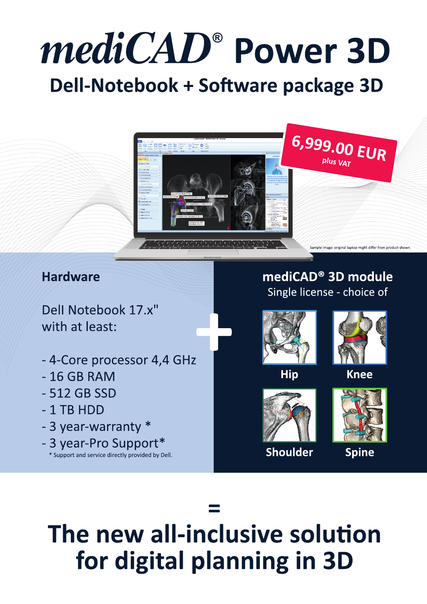# mediCAD® Power 3D Dell-Notebook + Software package 3D



### **Hardware**

Dell Notebook 17.x" with at least:

- 4-Core processor 4,4 GHz
- $-16$  GB RAM
- 512 GB SSD
- $-1$  TB HDD
- 3 year-warranty \*
- 3 year-Pro Support\*
	- \* Support and service directly provided by Dell.

### mediCAD<sup>®</sup> 3D module Single license - choice of



**Hip** 



**Knee** 



Shoulder



**Spine** 

# The new all-inclusive solution for digital planning in 3D